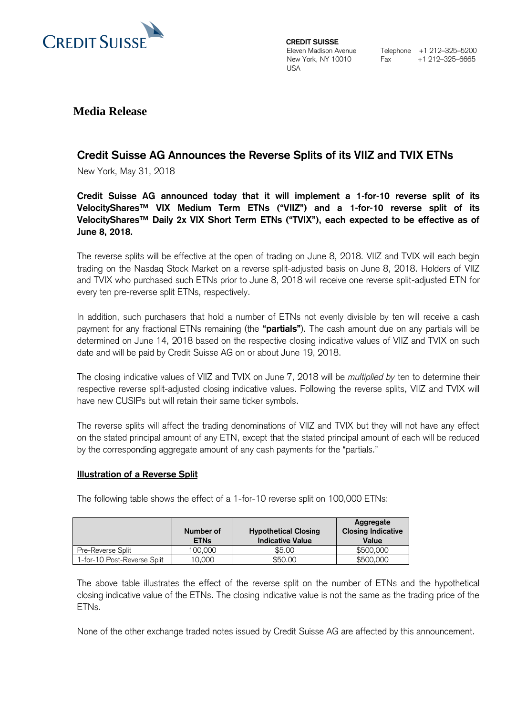

**CREDIT SUISSE**  Eleven Madison Avenue New York, NY 10010 USA

Telephone +1 212–325–5200  $Fax +1 212-325-6665$ 

## **Media Release**

# **Credit Suisse AG Announces the Reverse Splits of its VIIZ and TVIX ETNs**

New York, May 31, 2018

**Credit Suisse AG announced today that it will implement a 1-for-10 reverse split of its VelocityShares™ VIX Medium Term ETNs ("VIIZ") and a 1-for-10 reverse split of its VelocityShares™ Daily 2x VIX Short Term ETNs ("TVIX"), each expected to be effective as of June 8, 2018.**

The reverse splits will be effective at the open of trading on June 8, 2018. VIIZ and TVIX will each begin trading on the Nasdaq Stock Market on a reverse split-adjusted basis on June 8, 2018. Holders of VIIZ and TVIX who purchased such ETNs prior to June 8, 2018 will receive one reverse split-adjusted ETN for every ten pre-reverse split ETNs, respectively.

In addition, such purchasers that hold a number of ETNs not evenly divisible by ten will receive a cash payment for any fractional ETNs remaining (the **"partials"**). The cash amount due on any partials will be determined on June 14, 2018 based on the respective closing indicative values of VIIZ and TVIX on such date and will be paid by Credit Suisse AG on or about June 19, 2018.

The closing indicative values of VIIZ and TVIX on June 7, 2018 will be *multiplied by* ten to determine their respective reverse split-adjusted closing indicative values. Following the reverse splits, VIIZ and TVIX will have new CUSIPs but will retain their same ticker symbols.

The reverse splits will affect the trading denominations of VIIZ and TVIX but they will not have any effect on the stated principal amount of any ETN, except that the stated principal amount of each will be reduced by the corresponding aggregate amount of any cash payments for the "partials."

### **Illustration of a Reverse Split**

The following table shows the effect of a 1-for-10 reverse split on 100,000 ETNs:

|                             | Number of<br><b>ETNs</b> | <b>Hypothetical Closing</b><br><b>Indicative Value</b> | Aggregate<br><b>Closing Indicative</b><br>Value |
|-----------------------------|--------------------------|--------------------------------------------------------|-------------------------------------------------|
| Pre-Reverse Split           | 100.000                  | \$5.00                                                 | \$500,000                                       |
| 1-for-10 Post-Reverse Split | 10.000                   | \$50,00                                                | \$500,000                                       |

The above table illustrates the effect of the reverse split on the number of ETNs and the hypothetical closing indicative value of the ETNs. The closing indicative value is not the same as the trading price of the ETNs.

None of the other exchange traded notes issued by Credit Suisse AG are affected by this announcement.